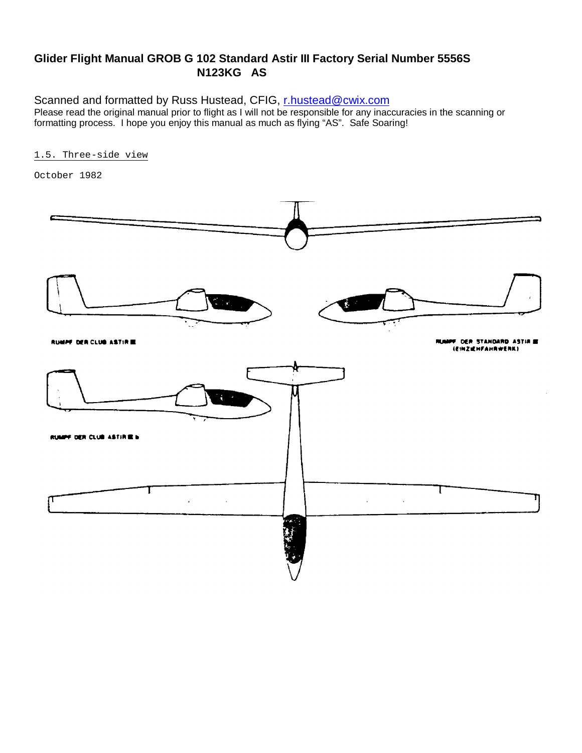## **Glider Flight Manual GROB G 102 Standard Astir III Factory Serial Number 5556S N123KG AS**

Scanned and formatted by Russ Hustead, CFIG, r.hustead@cwix.com Please read the original manual prior to flight as I will not be responsible for any inaccuracies in the scanning or formatting process. I hope you enjoy this manual as much as flying "AS". Safe Soaring!

### 1.5. Three-side view

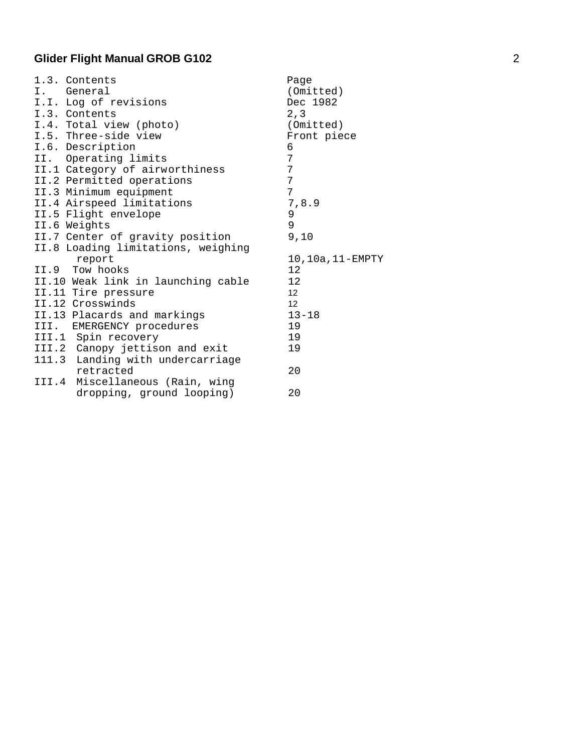| 1.3. Contents                      | Page            |
|------------------------------------|-----------------|
| I. General                         | (Omitted)       |
| I.I. Log of revisions              | Dec 1982        |
| I.3. Contents                      | 2, 3            |
| I.4. Total view (photo)            | (Omitted)       |
| I.5. Three-side view               | Front piece     |
| I.6. Description                   | 6               |
| II. Operating limits               | 7               |
| II.1 Category of airworthiness     | $7\phantom{.}$  |
| II.2 Permitted operations          | 7               |
| II.3 Minimum equipment             | 7               |
| II.4 Airspeed limitations          | 7,8.9           |
| II.5 Flight envelope               | 9               |
| II.6 Weights                       | 9               |
| II.7 Center of gravity position    | 9,10            |
| II.8 Loading limitations, weighing |                 |
| report                             | 10,10a,11-EMPTY |
| II.9 Tow hooks                     | 12              |
| II.10 Weak link in launching cable | 12              |
| II.11 Tire pressure                | 12 <sup>2</sup> |
| II.12 Crosswinds                   | 12 <sup>2</sup> |
| II.13 Placards and markings        | $13 - 18$       |
| III. EMERGENCY procedures          | 19              |
| III.1 Spin recovery                | 19              |
| III.2 Canopy jettison and exit     | 19              |
| 111.3 Landing with undercarriage   |                 |
| retracted                          | 20              |
| III.4 Miscellaneous (Rain, wing    |                 |
| dropping, ground looping)          | 20              |
|                                    |                 |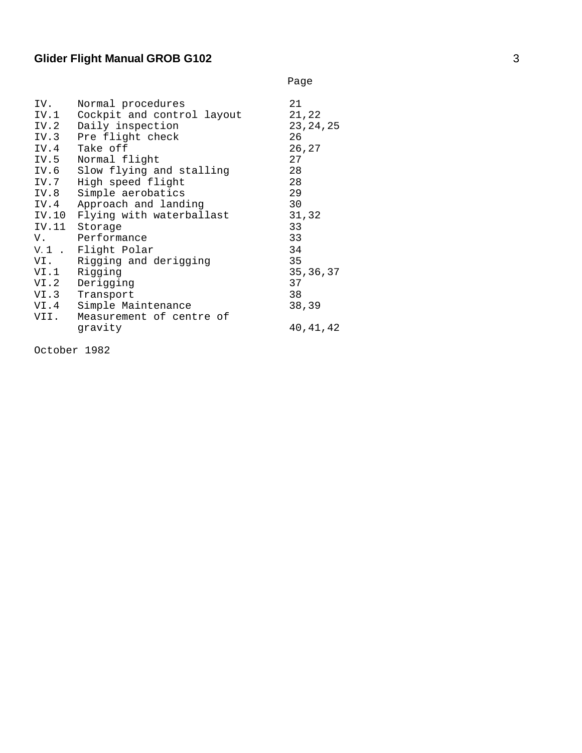|                                                                    |                                                                                                                                                                                                                                                                                                                                                                                    | Page                                                                                                                        |
|--------------------------------------------------------------------|------------------------------------------------------------------------------------------------------------------------------------------------------------------------------------------------------------------------------------------------------------------------------------------------------------------------------------------------------------------------------------|-----------------------------------------------------------------------------------------------------------------------------|
| IV.<br>IV.2<br>IV.3<br>IV.5<br>IV.7<br>IV.4<br>VI.<br>VI.1<br>VI.2 | Normal procedures<br>IV.1 Cockpit and control layout<br>Daily inspection<br>Pre flight check<br>IV.4 Take off<br>Normal flight<br>IV.6 Slow flying and stalling<br>High speed flight<br>IV.8 Simple aerobatics<br>Approach and landing<br>IV.10 Flying with waterballast<br>IV.11 Storage<br>V. Performance<br>V.1 . Flight Polar<br>Rigging and derigging<br>Rigging<br>Derigging | 21<br>21,22<br>23, 24, 25<br>26<br>26,27<br>27<br>28<br>28<br>29<br>30<br>31,32<br>33<br>33<br>34<br>35<br>35, 36, 37<br>37 |
|                                                                    |                                                                                                                                                                                                                                                                                                                                                                                    |                                                                                                                             |
| VI.3                                                               | Transport                                                                                                                                                                                                                                                                                                                                                                          | 38                                                                                                                          |
| VI.4                                                               | Simple Maintenance                                                                                                                                                                                                                                                                                                                                                                 | 38,39                                                                                                                       |
| VII.                                                               | Measurement of centre of                                                                                                                                                                                                                                                                                                                                                           |                                                                                                                             |
|                                                                    | qravity                                                                                                                                                                                                                                                                                                                                                                            | 40,41,42                                                                                                                    |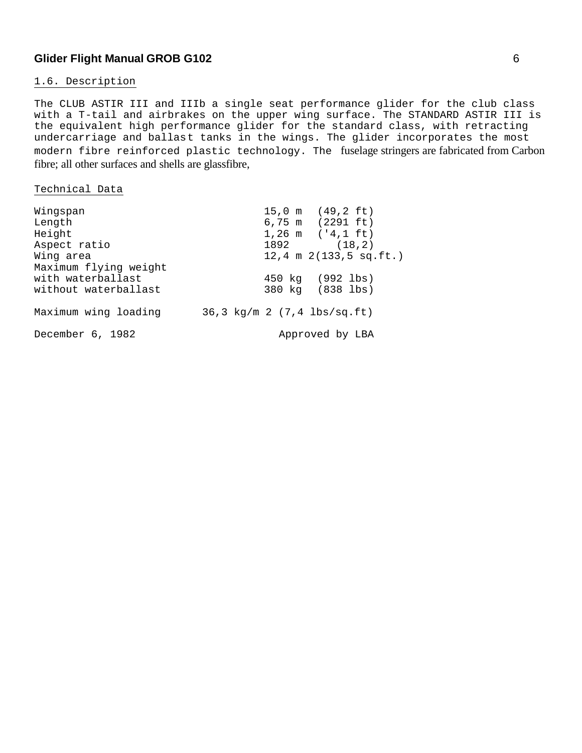#### 1.6. Description

The CLUB ASTIR III and IIIb a single seat performance glider for the club class with a T-tail and airbrakes on the upper wing surface. The STANDARD ASTIR III is the equivalent high performance glider for the standard class, with retracting undercarriage and ballast tanks in the wings. The glider incorporates the most modern fibre reinforced plastic technology. The fuselage stringers are fabricated from Carbon fibre; all other surfaces and shells are glassfibre,

#### Technical Data

| Wingspan              |  | $15,0 \text{ m}$ (49,2 ft)                   |
|-----------------------|--|----------------------------------------------|
| Length                |  | 6,75 m (2291 ft)                             |
| Height                |  | $1,26$ m $('4,1 ft)$                         |
| Aspect ratio          |  | $1892$ (18,2)                                |
| Wing area             |  | $12, 4 \text{ m } 2(133, 5 \text{ sq.fit.})$ |
| Maximum flying weight |  |                                              |
| with waterballast     |  | 450 kg (992 lbs)                             |
| without waterballast  |  | 380 kg (838 lbs)                             |
|                       |  |                                              |
| Maximum wing loading  |  | 36,3 kg/m 2 (7,4 lbs/sq.ft)                  |
|                       |  |                                              |
| December 6, 1982      |  | Approved by LBA                              |
|                       |  |                                              |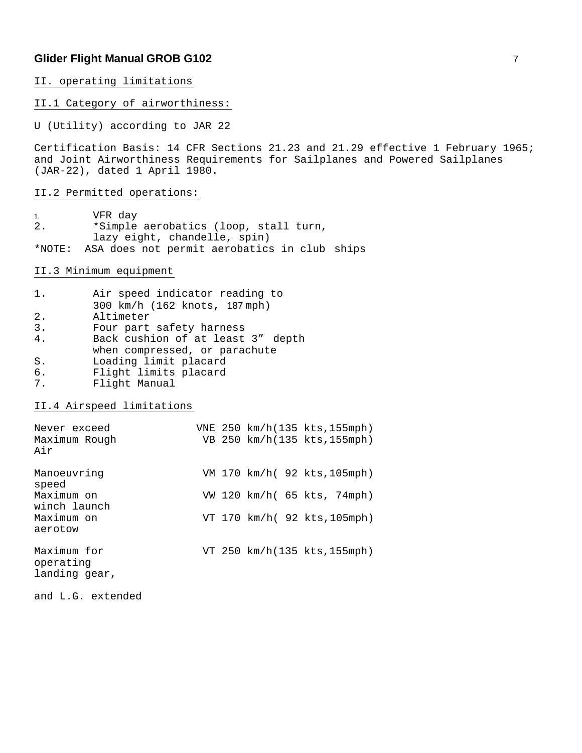#### II. operating limitations

#### II.1 Category of airworthiness:

U (Utility) according to JAR 22

Certification Basis: 14 CFR Sections 21.23 and 21.29 effective 1 February 1965; and Joint Airworthiness Requirements for Sailplanes and Powered Sailplanes (JAR-22), dated 1 April 1980.

II.2 Permitted operations:

1. VFR day 2. \*Simple aerobatics (loop, stall turn, lazy eight, chandelle, spin) \*NOTE: ASA does not permit aerobatics in club ships

II.3 Minimum equipment

| 1. | Air speed indicator reading to    |
|----|-----------------------------------|
|    | 300 km/h (162 knots, 187 mph)     |
| 2. | Altimeter                         |
| 3. | Four part safety harness          |
| 4. | Back cushion of at least 3" depth |
|    | when compressed, or parachute     |
| S. | Loading limit placard             |
| 6. | Flight limits placard             |
| 7. | Flight Manual                     |

II.4 Airspeed limitations

| Never exceed<br>Maximum Rough<br>Air      |  | VNE 250 km/h(135 kts, 155mph)<br>VB 250 km/h(135 kts, 155mph) |  |  |
|-------------------------------------------|--|---------------------------------------------------------------|--|--|
| Manoeuvring<br>speed                      |  | VM 170 km/h( 92 kts, 105mph)                                  |  |  |
| Maximum on<br>winch launch                |  | VW 120 km/h( 65 kts, 74mph)                                   |  |  |
| Maximum on<br>aerotow                     |  | VT 170 km/h( 92 kts, 105mph)                                  |  |  |
| Maximum for<br>operating<br>landing gear, |  | VT 250 km/h(135 kts, 155mph)                                  |  |  |

and L.G. extended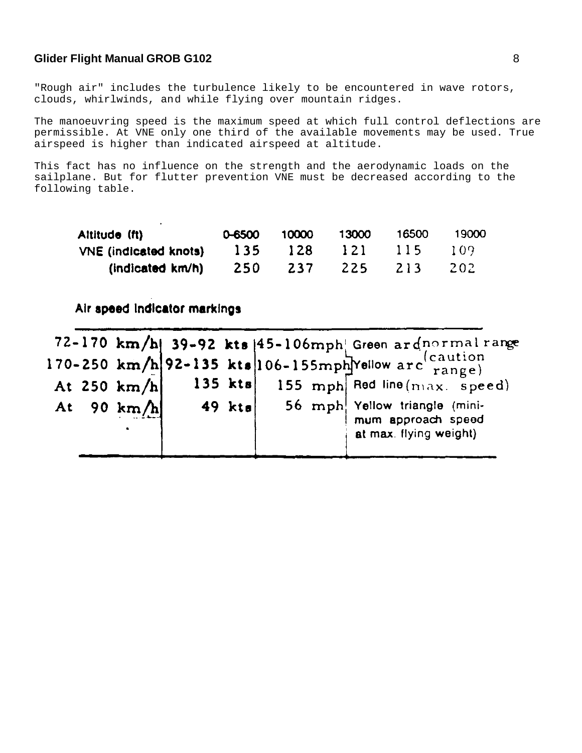"Rough air" includes the turbulence likely to be encountered in wave rotors, clouds, whirlwinds, and while flying over mountain ridges.

The manoeuvring speed is the maximum speed at which full control deflections are permissible. At VNE only one third of the available movements may be used. True airspeed is higher than indicated airspeed at altitude.

This fact has no influence on the strength and the aerodynamic loads on the sailplane. But for flutter prevention VNE must be decreased according to the following table.

| Altitude (ft)                | 0-6500 | 10000      | 13000            | 16500 | 19000 |
|------------------------------|--------|------------|------------------|-------|-------|
| <b>VNE</b> (indicated knots) | 135    | 128        | $\overline{121}$ | 115   | -109  |
| (indicated km/h)             | 250    | <b>Z37</b> | 225              | -213  | -202  |

## Air speed indicator markings

 $\ddot{\phantom{0}}$ 

| 170-250 km/h 92-135 kts 106-155mph Yellow arc $\frac{1}{\text{range}}$<br>$135$ kts<br><b>155</b> mph Red line $(max, speed)$<br>At 250 km/h<br>56 mph. Yellow triangle (mini-<br>$49$ kts<br>At 90 km/h<br>mum approach speed<br>at max. flying weight) |  |  |  | 72-170 km/h  39-92 kts $ 45-106$ mph  Green ardnormal range |
|----------------------------------------------------------------------------------------------------------------------------------------------------------------------------------------------------------------------------------------------------------|--|--|--|-------------------------------------------------------------|
|                                                                                                                                                                                                                                                          |  |  |  |                                                             |
|                                                                                                                                                                                                                                                          |  |  |  |                                                             |
|                                                                                                                                                                                                                                                          |  |  |  |                                                             |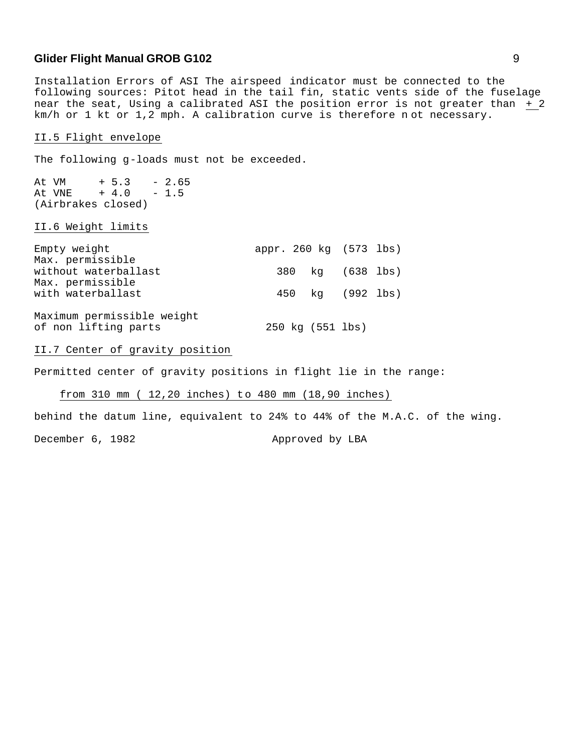Installation Errors of ASI The airspeed indicator must be connected to the following sources: Pitot head in the tail fin, static vents side of the fuselage near the seat, Using a calibrated ASI the position error is not greater than + 2 km/h or 1 kt or 1,2 mph. A calibration curve is therefore n ot necessary.

#### II.5 Flight envelope

The following g-loads must not be exceeded.

At VM  $+ 5.3 - 2.65$ At VNE + 4.0 - 1.5 (Airbrakes closed)

#### II.6 Weight limits

| Empty weight                                                 | appr. 260 kg (573 lbs) |                  |
|--------------------------------------------------------------|------------------------|------------------|
| Max. permissible<br>without waterballast<br>Max. permissible |                        | 380 kg (638 lbs) |
| with waterballast                                            |                        | 450 kg (992 lbs) |
| Maximum permissible weight<br>of non lifting parts           | 250 kg (551 lbs)       |                  |

#### II.7 Center of gravity position

Permitted center of gravity positions in flight lie in the range:

#### from 310 mm ( 12,20 inches) to 480 mm (18,90 inches)

behind the datum line, equivalent to 24% to 44% of the M.A.C. of the wing.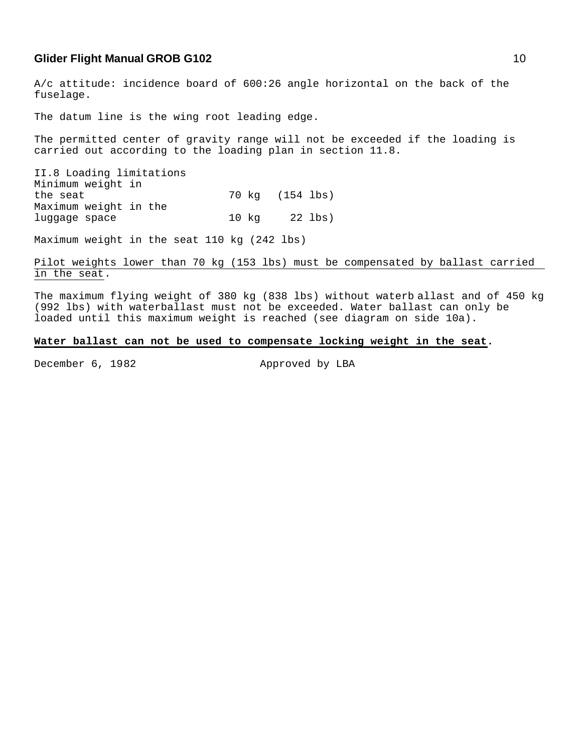A/c attitude: incidence board of 600:26 angle horizontal on the back of the fuselage.

The datum line is the wing root leading edge.

The permitted center of gravity range will not be exceeded if the loading is carried out according to the loading plan in section 11.8.

II.8 Loading limitations Minimum weight in the seat 70 kg (154 lbs) Maximum weight in the luggage space 10 kg 22 lbs)

Maximum weight in the seat 110 kg (242 lbs)

#### Pilot weights lower than 70 kg (153 lbs) must be compensated by ballast carried in the seat.

The maximum flying weight of 380 kg (838 lbs) without waterb allast and of 450 kg (992 lbs) with waterballast must not be exceeded. Water ballast can only be loaded until this maximum weight is reached (see diagram on side 10a).

#### **Water ballast can not be used to compensate locking weight in the seat.**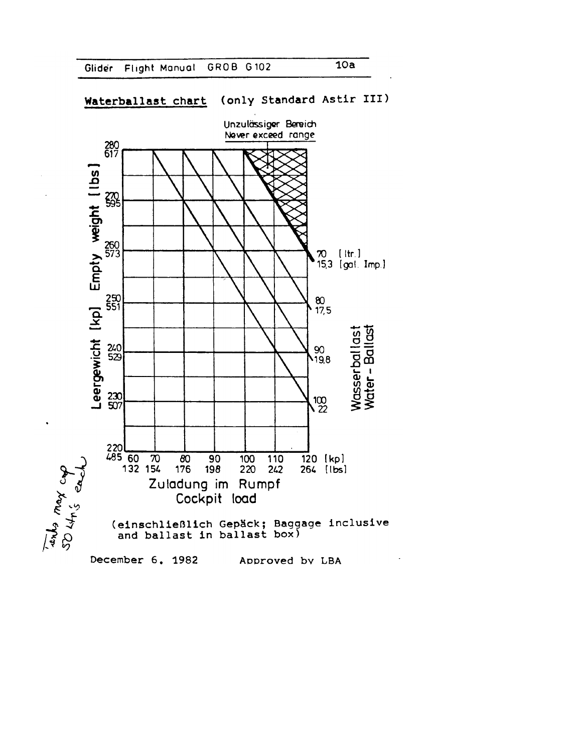



#### (only Standard Astir III) Waterballast chart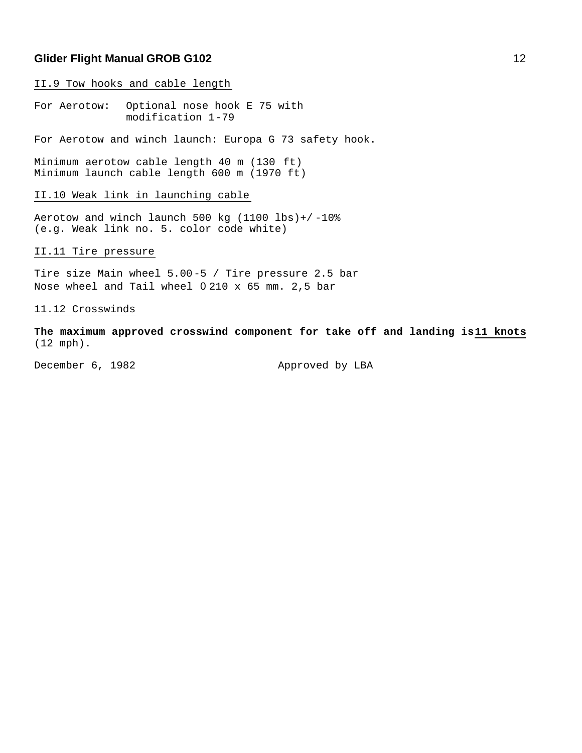II.9 Tow hooks and cable length

For Aerotow: Optional nose hook E 75 with modification 1-79

For Aerotow and winch launch: Europa G 73 safety hook.

Minimum aerotow cable length 40 m (130 ft) Minimum launch cable length 600 m (1970 ft)

#### II.10 Weak link in launching cable

Aerotow and winch launch 500 kg (1100 lbs)+/ -10% (e.g. Weak link no. 5. color code white)

II.11 Tire pressure

Tire size Main wheel 5.00-5 / Tire pressure 2.5 bar Nose wheel and Tail wheel 0 210 x 65 mm. 2,5 bar

#### 11.12 Crosswinds

**The maximum approved crosswind component for take off and landing is 11 knots** (12 mph).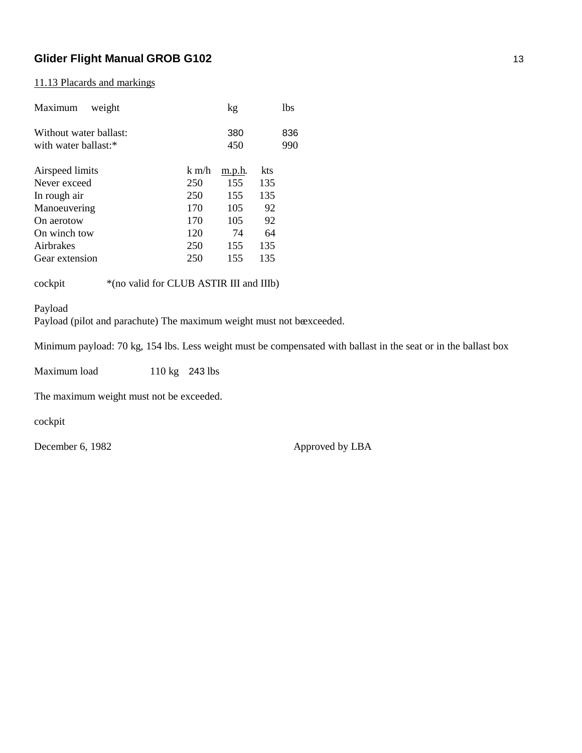### 11.13 Placards and markings

| Maximum<br>weight                              |         | kg         |     | 1bs        |
|------------------------------------------------|---------|------------|-----|------------|
| Without water ballast:<br>with water ballast:* |         | 380<br>450 |     | 836<br>990 |
| Airspeed limits                                | $k$ m/h | m.p.h.     | kts |            |
| Never exceed                                   | 250     | 155        | 135 |            |
| In rough air                                   | 250     | 155        | 135 |            |
| Manoeuvering                                   | 170     | 105        | 92  |            |
| On aerotow                                     | 170     | 105        | 92  |            |
| On winch tow                                   | 120     | 74         | 64  |            |
| Airbrakes                                      | 250     | 155        | 135 |            |
| Gear extension                                 | 250     | 155        | 135 |            |
|                                                |         |            |     |            |

cockpit \*(no valid for CLUB ASTIR III and IIIb)

Payload

Payload (pilot and parachute) The maximum weight must not be exceeded.

Minimum payload: 70 kg, 154 lbs. Less weight must be compensated with ballast in the seat or in the ballast box

Maximum load 110 kg 243 lbs

The maximum weight must not be exceeded.

cockpit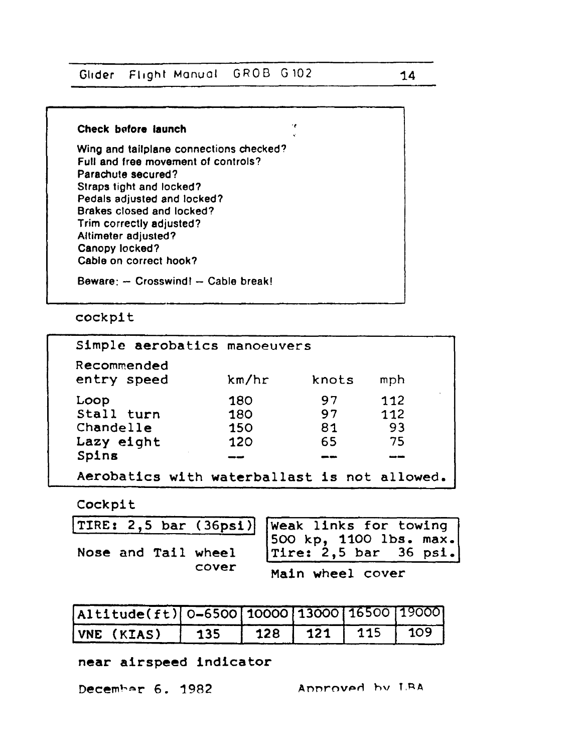Flight Manual GROB G102 Glider

#### Check before launch

Wing and tailplane connections checked? Full and free movement of controls? Parachute secured? Straps tight and locked? Pedals adjusted and locked? Brakes closed and locked? Trim correctly adjusted? Altimeter adjusted? Canopy locked? Cable on correct hook?

Beware: -- Crosswind! -- Cable break!

## cockpit

| Simple aerobatics manoeuvers                 |       |       |     |  |  |  |
|----------------------------------------------|-------|-------|-----|--|--|--|
| Recommended<br>entry speed                   | km/hr | knots | mph |  |  |  |
| Loop                                         | 180   | 97    | 112 |  |  |  |
| Stall turn                                   | 180   | 97    | 112 |  |  |  |
| Chandelle                                    | 150   | 81    | 93  |  |  |  |
| Lazy eight                                   | 120   | 65    | 75  |  |  |  |
| Spins                                        |       |       |     |  |  |  |
| Aerobatics with waterballast is not allowed. |       |       |     |  |  |  |

٠è

## Cockpit

|  |       | TIRE: 2,5 bar (36psi) Weak links for towing<br>Nose and Tail wheel Tire: 2,5 bar 36 psi. |
|--|-------|------------------------------------------------------------------------------------------|
|  |       |                                                                                          |
|  |       |                                                                                          |
|  | cover | الموسوع والمستنبذ والمناسب والمتعاونة والمتعاونة                                         |

#### Main wheel cover

| Altitude(ft) 0-6500 10000 13000 16500 19000 |     |           |              |              |
|---------------------------------------------|-----|-----------|--------------|--------------|
| VNE (KIAS)                                  | 135 | $128$ 121 | $\sqrt{115}$ | $\sqrt{109}$ |

## near airspeed indicator

December 6. 1982

Annroved by LBA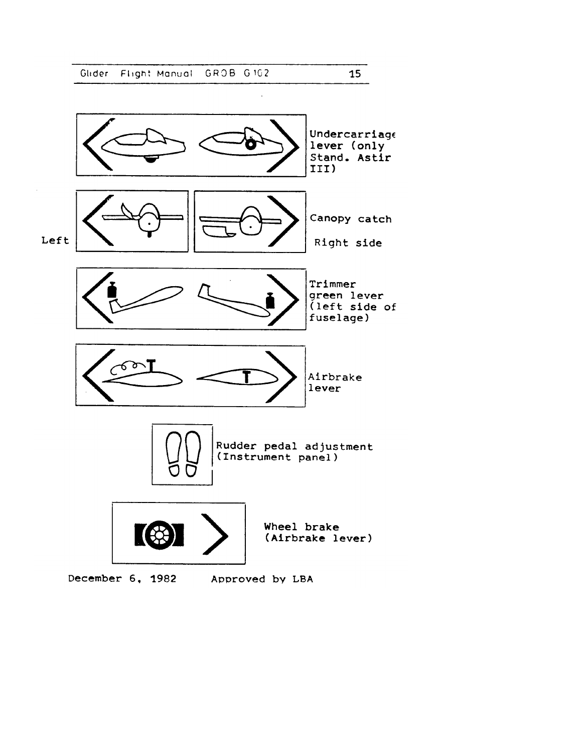$\bar{z}$ 

ú.

 $15<sub>1</sub>$ 

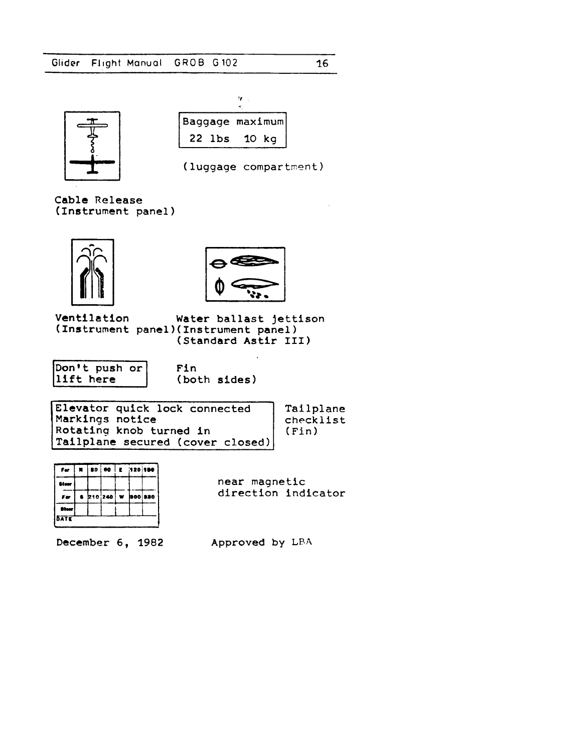

|          | Baggage maximum |  |
|----------|-----------------|--|
| $22$ lbs | 10 kg           |  |



 $16<sup>1</sup>$ 

Cable Release (Instrument panel)





Ventilation Water ballast jettison (Instrument panel)(Instrument panel) (Standard Astir III)

Don't push or lift here

Fin (both sides)

| Elevator quick lock connected    | Tailplane |
|----------------------------------|-----------|
| Markings notice                  | checklist |
| Rotating knob turned in          | (Fin)     |
| Tailplane secured (cover closed) |           |

| Fer          | × | 80   60   | E 120150 |                    |  |
|--------------|---|-----------|----------|--------------------|--|
| Stoor        |   |           |          |                    |  |
| Fer          |   | 8 210 240 |          | $w$ <b>300 820</b> |  |
| <b>Steer</b> |   |           |          |                    |  |
| <b>SATE</b>  |   |           |          |                    |  |

near magnetic direction indicator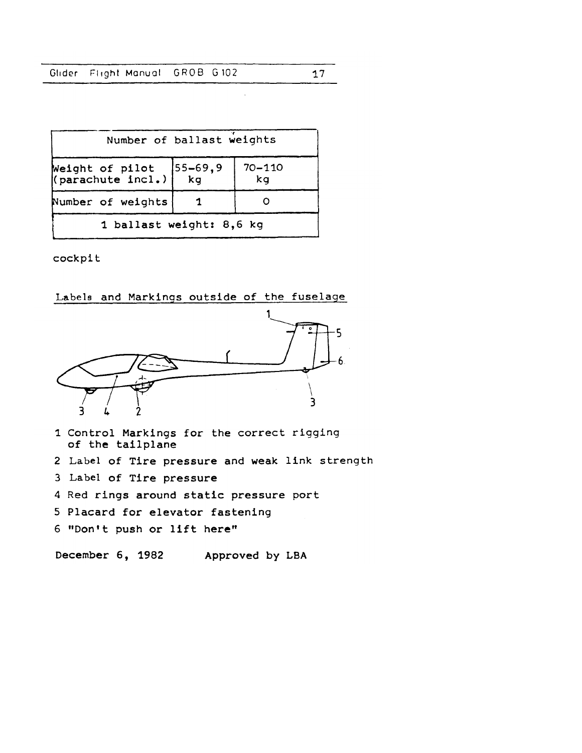|  |  | Glider Flight Manual GROB G102 |  |  |  |
|--|--|--------------------------------|--|--|--|
|--|--|--------------------------------|--|--|--|

 $\ddot{\phantom{a}}$ 

| Number of ballast weights            |                                                  |                  |  |  |
|--------------------------------------|--------------------------------------------------|------------------|--|--|
| Weight of pilot<br>(parachute incl.) | $\begin{vmatrix} 55 - 69, 9 \\ kg \end{vmatrix}$ | $70 - 110$<br>kg |  |  |
| Number of weights                    |                                                  |                  |  |  |
| 1 ballast weight: 8,6 kg             |                                                  |                  |  |  |

cockpit

#### Labels and Markings outside of the fuselage



- 1 Control Markings for the correct rigging of the tailplane
- 2 Label of Tire pressure and weak link strength
- 3 Label of Tire pressure
- 4 Red rings around static pressure port
- 5 Placard for elevator fastening
- 6 "Don't push or lift here"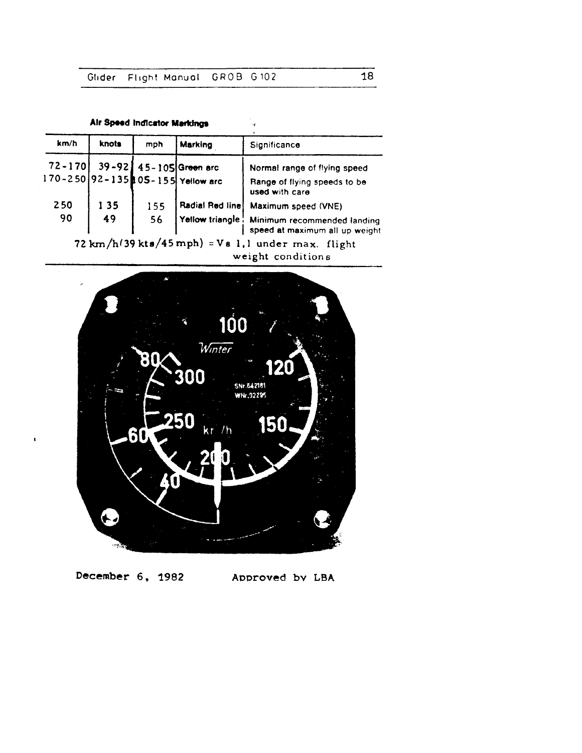|  |  | Air Speed Indicator Markings |  |
|--|--|------------------------------|--|
|--|--|------------------------------|--|

 $\mathbf{r}$ 

| km/h | knots | mph | Marking                                                           | Significance                                                                  |
|------|-------|-----|-------------------------------------------------------------------|-------------------------------------------------------------------------------|
|      |       |     |                                                                   | Normal range of flying speed                                                  |
|      |       |     | 72-170 39-92 45-105 Green arc<br>170-250 92-135 05-155 Yellow arc | Range of flying speeds to be<br>used with care                                |
| 250  | 135   | 155 | <b>Radial Red line</b>                                            | Maximum speed (VNE)                                                           |
| 90   | 49    | 56  |                                                                   | Yellow triangle Minimum recommended landing<br>speed at maximum all up weight |
|      |       |     |                                                                   | 72 km/h(39 kts/45 mph) = $Vs$ 1,1 under max. flight<br>weight conditions      |



December 6, 1982 Approved by LBA

 $\overline{18}$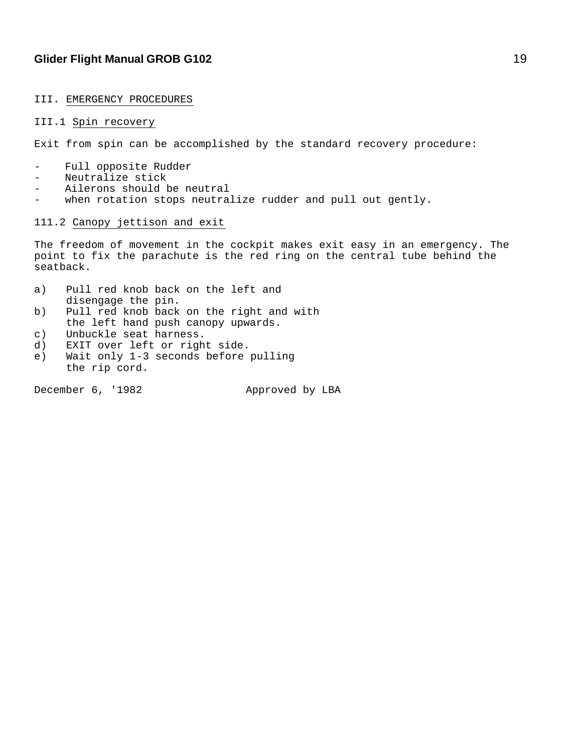#### III. EMERGENCY PROCEDURES

#### III.1 Spin recovery

Exit from spin can be accomplished by the standard recovery procedure:

- Full opposite Rudder
- Neutralize stick
- Ailerons should be neutral
- when rotation stops neutralize rudder and pull out gently.

#### 111.2 Canopy jettison and exit

The freedom of movement in the cockpit makes exit easy in an emergency. The point to fix the parachute is the red ring on the central tube behind the seatback.

- a) Pull red knob back on the left and disengage the pin.
- b) Pull red knob back on the right and with the left hand push canopy upwards.
- c) Unbuckle seat harness.
- d) EXIT over left or right side.
- e) Wait only 1-3 seconds before pulling the rip cord.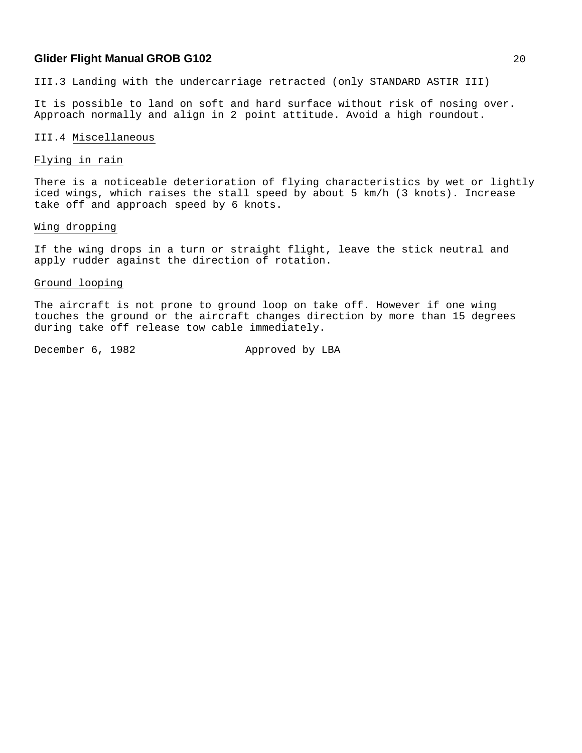III.3 Landing with the undercarriage retracted (only STANDARD ASTIR III)

It is possible to land on soft and hard surface without risk of nosing over. Approach normally and align in 2 point attitude. Avoid a high roundout.

#### III.4 Miscellaneous

#### Flying in rain

There is a noticeable deterioration of flying characteristics by wet or lightly iced wings, which raises the stall speed by about 5 km/h (3 knots). Increase take off and approach speed by 6 knots.

#### Wing dropping

If the wing drops in a turn or straight flight, leave the stick neutral and apply rudder against the direction of rotation.

#### Ground looping

The aircraft is not prone to ground loop on take off. However if one wing touches the ground or the aircraft changes direction by more than 15 degrees during take off release tow cable immediately.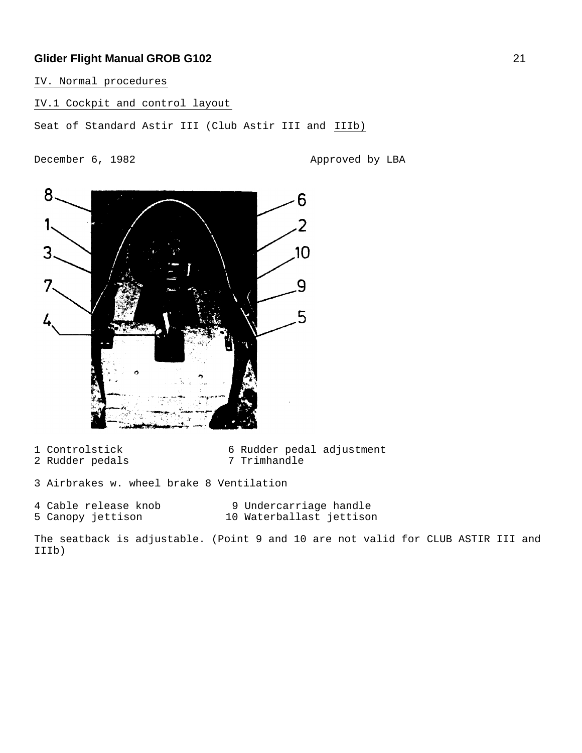IV. Normal procedures

IV.1 Cockpit and control layout

Seat of Standard Astir III (Club Astir III and IIIb)

December 6, 1982 Approved by LBA



- 2 Rudder pedals
- 1 Controlstick 6 Rudder pedal adjustment<br>2 Rudder pedals 1 7 Trimhandle
- 3 Airbrakes w. wheel brake 8 Ventilation
- 
- 4 Cable release knob 9 Undercarriage handle 5 Canopy jettison 10 Waterballast jettison

The seatback is adjustable. (Point 9 and 10 are not valid for CLUB ASTIR III and IIIb)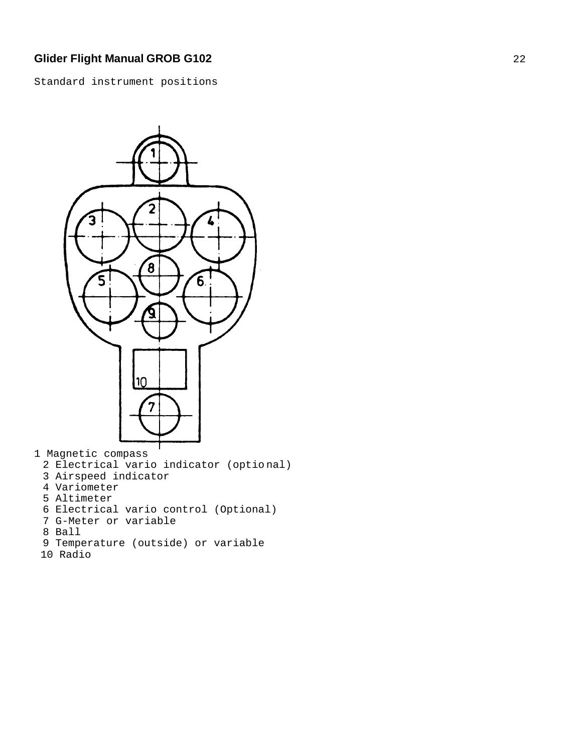Standard instrument positions



2 Electrical vario indicator (optio nal) 3 Airspeed indicator 4 Variometer 5 Altimeter 6 Electrical vario control (Optional) 7 G-Meter or variable 8 Ball

- 9 Temperature (outside) or variable
- 10 Radio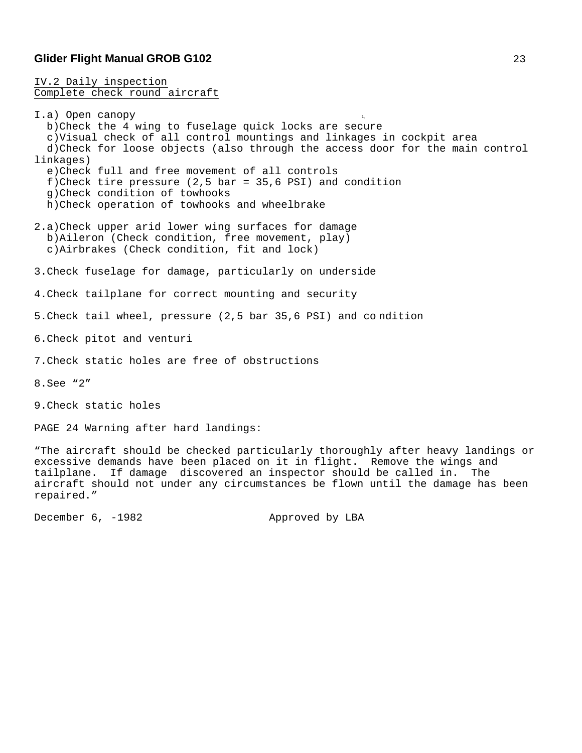IV.2 Daily inspection Complete check round aircraft

I.a) Open canopy b)Check the 4 wing to fuselage quick locks are secure c)Visual check of all control mountings and linkages in cockpit area d)Check for loose objects (also through the access door for the main control linkages) e)Check full and free movement of all controls f)Check tire pressure (2,5 bar = 35,6 PSI) and condition g)Check condition of towhooks h)Check operation of towhooks and wheelbrake 2.a)Check upper arid lower wing surfaces for damage b)Aileron (Check condition, free movement, play) c)Airbrakes (Check condition, fit and lock) 3.Check fuselage for damage, particularly on underside 4.Check tailplane for correct mounting and security 5.Check tail wheel, pressure (2,5 bar 35,6 PSI) and co ndition 6.Check pitot and venturi 7.Check static holes are free of obstructions 8.See "2" 9.Check static holes PAGE 24 Warning after hard landings: "The aircraft should be checked particularly thoroughly after heavy landings or excessive demands have been placed on it in flight. Remove the wings and tailplane. If damage discovered an inspector should be called in. The aircraft should not under any circumstances be flown until the damage has been repaired."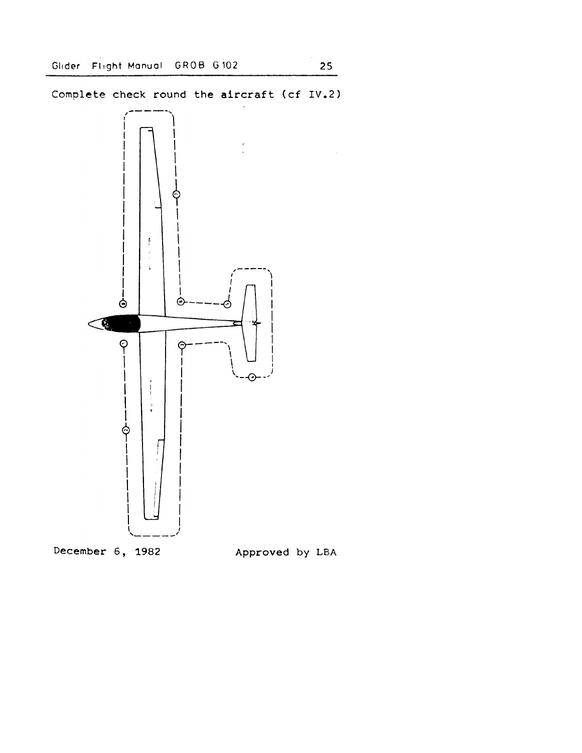Complete check round the aircraft (cf IV.2)

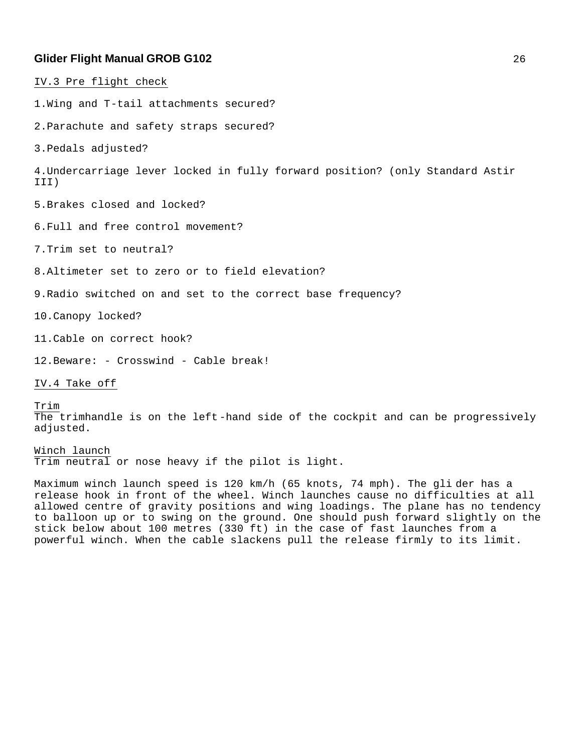IV.3 Pre flight check 1.Wing and T-tail attachments secured? 2.Parachute and safety straps secured? 3.Pedals adjusted? 4.Undercarriage lever locked in fully forward position? (only Standard Astir III) 5.Brakes closed and locked? 6.Full and free control movement? 7.Trim set to neutral? 8.Altimeter set to zero or to field elevation? 9.Radio switched on and set to the correct base frequency? 10.Canopy locked? 11.Cable on correct hook?

12.Beware: - Crosswind - Cable break!

IV.4 Take off

Trim The trimhandle is on the left -hand side of the cockpit and can be progressively adjusted.

Winch launch Trim neutral or nose heavy if the pilot is light.

Maximum winch launch speed is 120 km/h (65 knots, 74 mph). The gli der has a release hook in front of the wheel. Winch launches cause no difficulties at all allowed centre of gravity positions and wing loadings. The plane has no tendency to balloon up or to swing on the ground. One should push forward slightly on the stick below about 100 metres (330 ft) in the case of fast launches from a powerful winch. When the cable slackens pull the release firmly to its limit.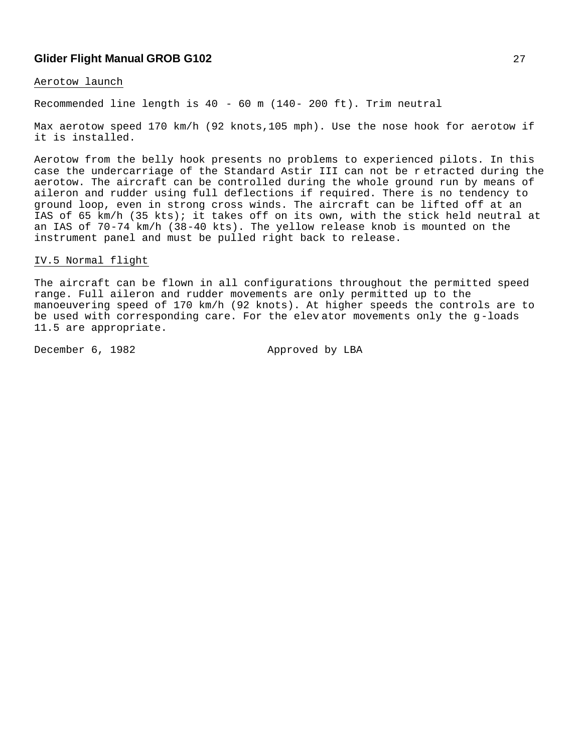#### Aerotow launch

Recommended line length is 40 - 60 m (140- 200 ft). Trim neutral

Max aerotow speed 170 km/h (92 knots,105 mph). Use the nose hook for aerotow if it is installed.

Aerotow from the belly hook presents no problems to experienced pilots. In this case the undercarriage of the Standard Astir III can not be r etracted during the aerotow. The aircraft can be controlled during the whole ground run by means of aileron and rudder using full deflections if required. There is no tendency to ground loop, even in strong cross winds. The aircraft can be lifted off at an IAS of 65 km/h (35 kts); it takes off on its own, with the stick held neutral at an IAS of 70-74 km/h (38-40 kts). The yellow release knob is mounted on the instrument panel and must be pulled right back to release.

#### IV.5 Normal flight

The aircraft can be flown in all configurations throughout the permitted speed range. Full aileron and rudder movements are only permitted up to the manoeuvering speed of 170 km/h (92 knots). At higher speeds the controls are to be used with corresponding care. For the elev ator movements only the g-loads 11.5 are appropriate.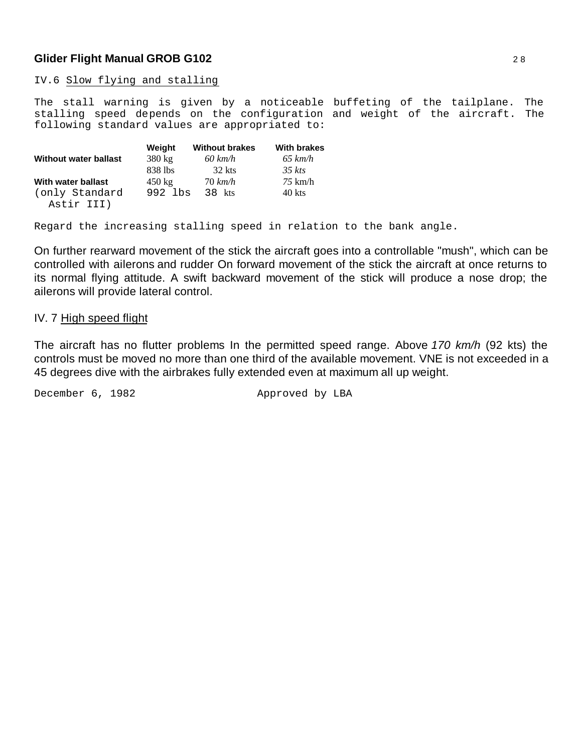IV.6 Slow flying and stalling

The stall warning is given by a noticeable buffeting of the tailplane. The stalling speed depends on the configuration and weight of the aircraft. The following standard values are appropriated to:

|                              | Weight           | <b>Without brakes</b> | <b>With brakes</b> |
|------------------------------|------------------|-----------------------|--------------------|
| Without water ballast        | $380 \text{ kg}$ | $60 \ km/h$           | $65 \ km/h$        |
|                              | 838 lbs          | 32 kts                | $35$ kts           |
| With water ballast           | $450 \text{ kg}$ | $70 \ km/h$           | $75 \text{ km/h}$  |
| (only Standard<br>Astir III) | 992 lbs          | 38 kts                | 40 kts             |

Regard the increasing stalling speed in relation to the bank angle.

On further rearward movement of the stick the aircraft goes into a controllable "mush", which can be controlled with ailerons and rudder On forward movement of the stick the aircraft at once returns to its normal flying attitude. A swift backward movement of the stick will produce a nose drop; the ailerons will provide lateral control.

#### IV. 7 High speed flight

The aircraft has no flutter problems In the permitted speed range. Above *170 km/h* (92 kts) the controls must be moved no more than one third of the available movement. VNE is not exceeded in a 45 degrees dive with the airbrakes fully extended even at maximum all up weight.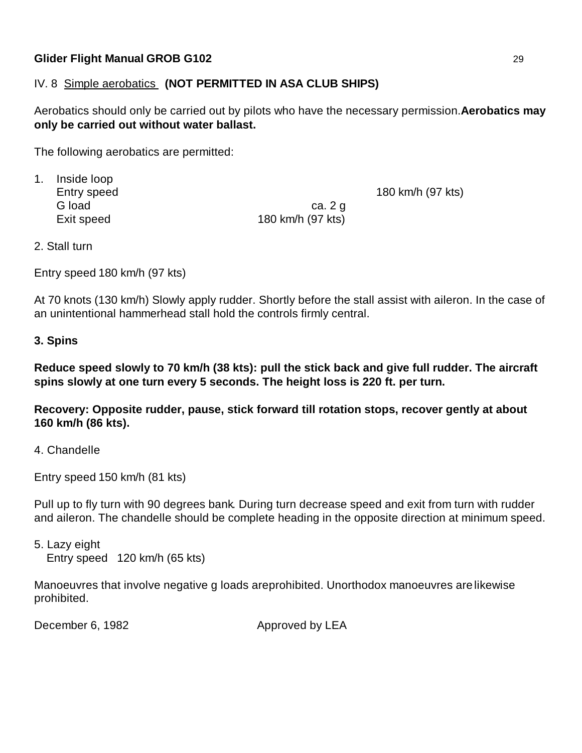## IV. 8 Simple aerobatics **(NOT PERMITTED IN ASA CLUB SHIPS)**

Aerobatics should only be carried out by pilots who have the necessary permission. **Aerobatics may only be carried out without water ballast.**

The following aerobatics are permitted:

1. Inside loop

Entry speed 180 km/h (97 kts)

G load ca. 2 g Exit speed 180 km/h (97 kts)

2. Stall turn

Entry speed 180 km/h (97 kts)

At 70 knots (130 km/h) Slowly apply rudder. Shortly before the stall assist with aileron. In the case of an unintentional hammerhead stall hold the controls firmly central.

## **3. Spins**

**Reduce speed slowly to 70 km/h (38 kts): pull the stick back and give full rudder. The aircraft spins slowly at one turn every 5 seconds. The height loss is 220 ft. per turn.**

**Recovery: Opposite rudder, pause, stick forward till rotation stops, recover gently at about 160 km/h (86 kts).**

4. Chandelle

Entry speed 150 km/h (81 kts)

Pull up to fly turn with 90 degrees bank. During turn decrease speed and exit from turn with rudder and aileron. The chandelle should be complete heading in the opposite direction at minimum speed.

5. Lazy eight Entry speed 120 km/h (65 kts)

Manoeuvres that involve negative g loads areprohibited. Unorthodox manoeuvres are likewise prohibited.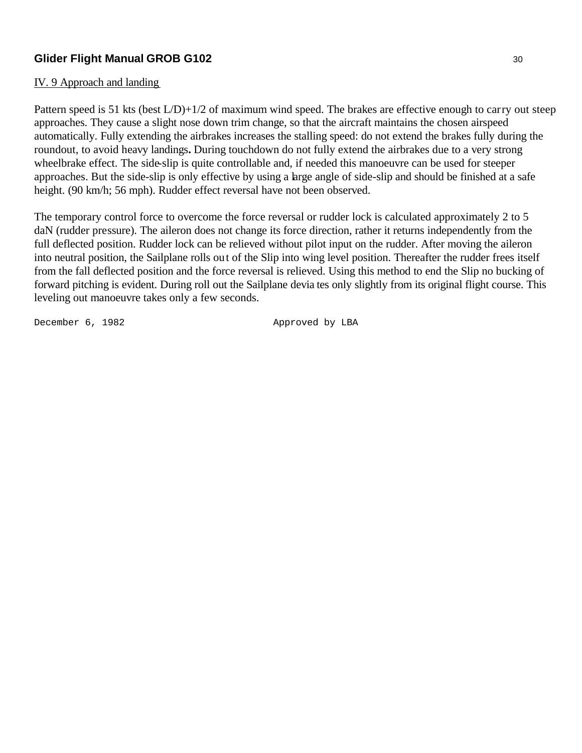### IV. 9 Approach and landing

Pattern speed is 51 kts (best L/D)+1/2 of maximum wind speed. The brakes are effective enough to carry out steep approaches. They cause a slight nose down trim change, so that the aircraft maintains the chosen airspeed automatically. Fully extending the airbrakes increases the stalling speed: do not extend the brakes fully during the roundout, to avoid heavy landings**.** During touchdown do not fully extend the airbrakes due to a very strong wheelbrake effect. The side-slip is quite controllable and, if needed this manoeuvre can be used for steeper approaches. But the side-slip is only effective by using a large angle of side-slip and should be finished at a safe height. (90 km/h; 56 mph). Rudder effect reversal have not been observed.

The temporary control force to overcome the force reversal or rudder lock is calculated approximately 2 to 5 daN (rudder pressure). The aileron does not change its force direction, rather it returns independently from the full deflected position. Rudder lock can be relieved without pilot input on the rudder. After moving the aileron into neutral position, the Sailplane rolls out of the Slip into wing level position. Thereafter the rudder frees itself from the fall deflected position and the force reversal is relieved. Using this method to end the Slip no bucking of forward pitching is evident. During roll out the Sailplane devia tes only slightly from its original flight course. This leveling out manoeuvre takes only a few seconds.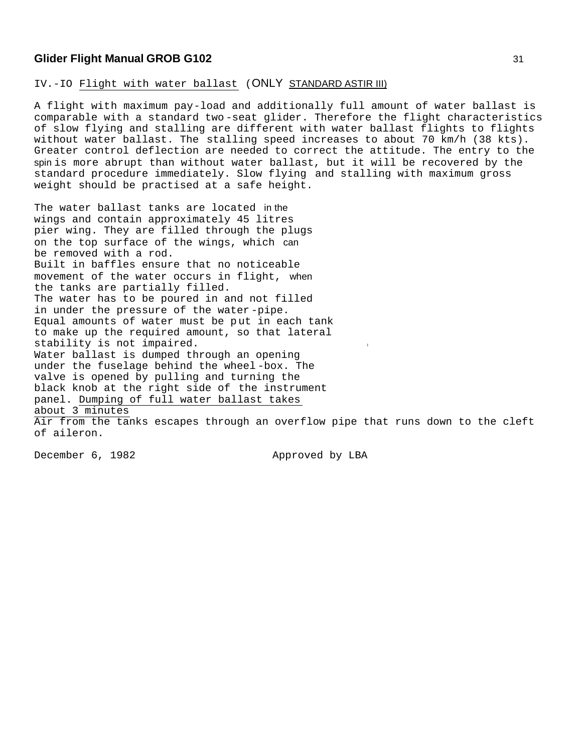IV.-IO Flight with water ballast (ONLY STANDARD ASTIR III)

A flight with maximum pay-load and additionally full amount of water ballast is comparable with a standard two -seat glider. Therefore the flight characteristics of slow flying and stalling are different with water ballast flights to flights without water ballast. The stalling speed increases to about 70 km/h (38 kts). Greater control deflection are needed to correct the attitude. The entry to the spin is more abrupt than without water ballast, but it will be recovered by the standard procedure immediately. Slow flying and stalling with maximum gross weight should be practised at a safe height.

The water ballast tanks are located in the wings and contain approximately 45 litres pier wing. They are filled through the plugs on the top surface of the wings, which can be removed with a rod. Built in baffles ensure that no noticeable movement of the water occurs in flight, when the tanks are partially filled. The water has to be poured in and not filled in under the pressure of the water -pipe. Equal amounts of water must be put in each tank to make up the required amount, so that lateral stability is not impaired. Water ballast is dumped through an opening under the fuselage behind the wheel -box. The valve is opened by pulling and turning the black knob at the right side of the instrument panel. Dumping of full water ballast takes about 3 minutes Air from the tanks escapes through an overflow pipe that runs down to the cleft of aileron.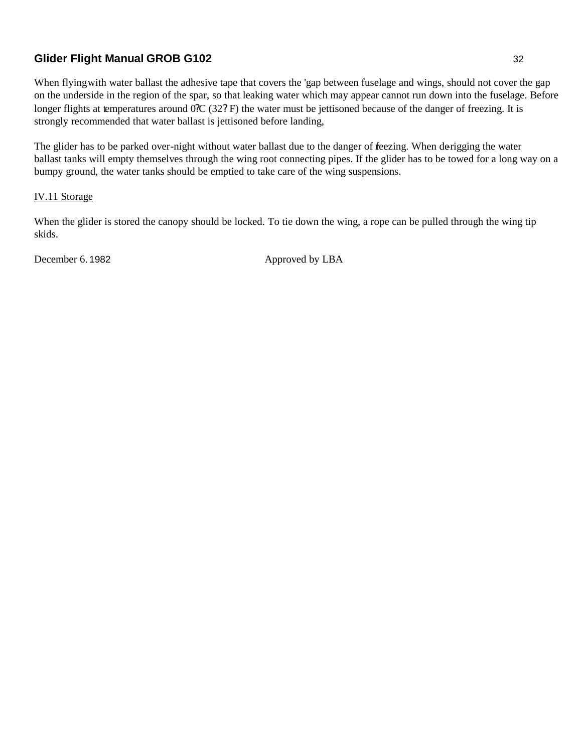When flying with water ballast the adhesive tape that covers the 'gap between fuselage and wings, should not cover the gap on the underside in the region of the spar, so that leaking water which may appear cannot run down into the fuselage. Before longer flights at temperatures around 0?C (32? F) the water must be jettisoned because of the danger of freezing. It is strongly recommended that water ballast is jettisoned before landing,

The glider has to be parked over-night without water ballast due to the danger of feezing. When derigging the water ballast tanks will empty themselves through the wing root connecting pipes. If the glider has to be towed for a long way on a bumpy ground, the water tanks should be emptied to take care of the wing suspensions.

### IV.11 Storage

When the glider is stored the canopy should be locked. To tie down the wing, a rope can be pulled through the wing tip skids.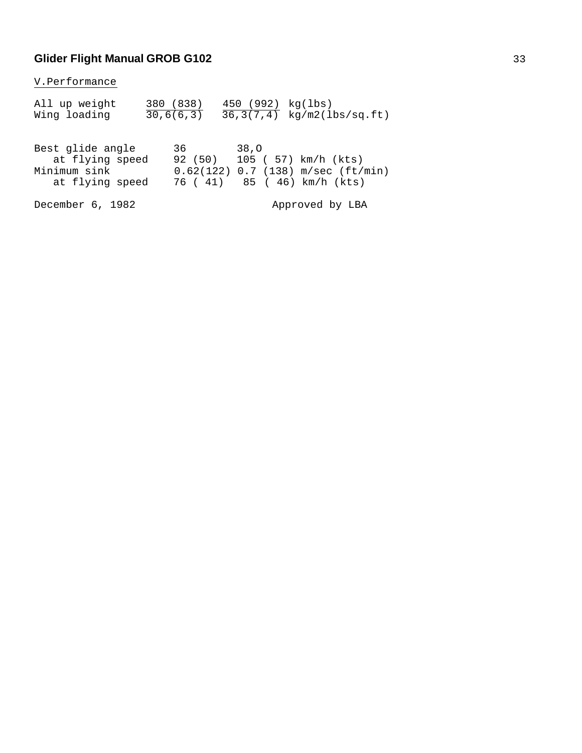V.Performance

| All up weight<br>Wing loading                                          | 380 (838)<br>30, 6(6, 3)                                                                  |      |  | 450 (992) kg(lbs)  | $\overline{36,3(7,4)}$ kg/m2(lbs/sq.ft) |  |
|------------------------------------------------------------------------|-------------------------------------------------------------------------------------------|------|--|--------------------|-----------------------------------------|--|
| Best glide angle<br>at flying speed<br>Minimum sink<br>at flying speed | 36 — 1<br>92 (50) 105 ( 57) km/h (kts)<br>$0.62(122)$ 0.7 (138) m/sec (ft/min)<br>76 (41) | 38,0 |  | 85 (46) km/h (kts) |                                         |  |
| December 6, 1982                                                       |                                                                                           |      |  |                    | Approved by LBA                         |  |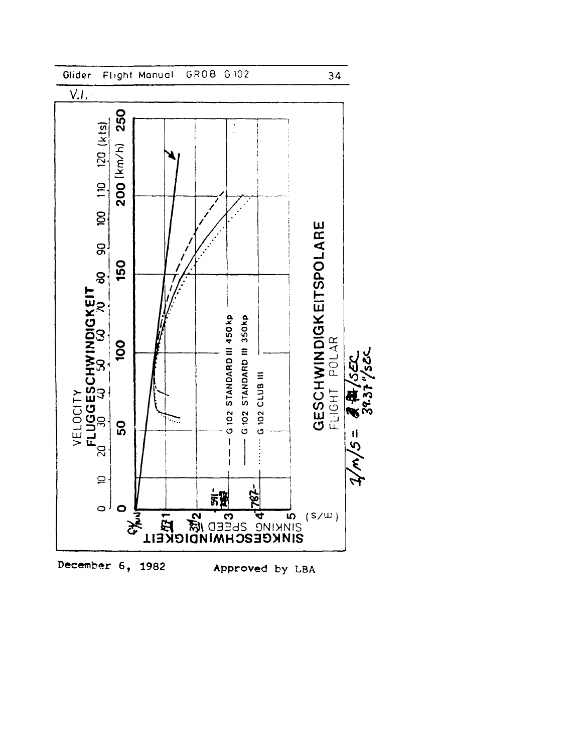

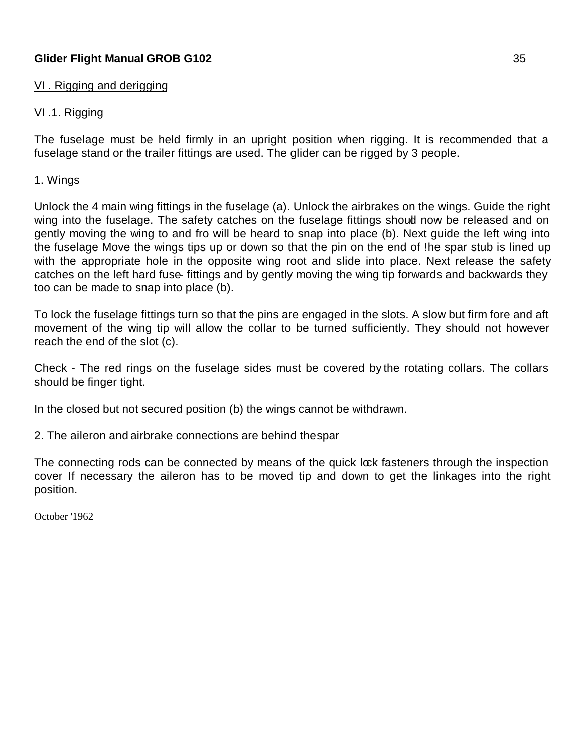### VI . Rigging and derigging

## <u>VI.1. Rigging</u>

The fuselage must be held firmly in an upright position when rigging. It is recommended that a fuselage stand or the trailer fittings are used. The glider can be rigged by 3 people.

## 1. Wings

Unlock the 4 main wing fittings in the fuselage (a). Unlock the airbrakes on the wings. Guide the right wing into the fuselage. The safety catches on the fuselage fittings shoud now be released and on gently moving the wing to and fro will be heard to snap into place (b). Next guide the left wing into the fuselage Move the wings tips up or down so that the pin on the end of !he spar stub is lined up with the appropriate hole in the opposite wing root and slide into place. Next release the safety catches on the left hard fuse- fittings and by gently moving the wing tip forwards and backwards they too can be made to snap into place (b).

To lock the fuselage fittings turn so that the pins are engaged in the slots. A slow but firm fore and aft movement of the wing tip will allow the collar to be turned sufficiently. They should not however reach the end of the slot (c).

Check - The red rings on the fuselage sides must be covered by the rotating collars. The collars should be finger tight.

In the closed but not secured position (b) the wings cannot be withdrawn.

2. The aileron and airbrake connections are behind thespar

The connecting rods can be connected by means of the quick lock fasteners through the inspection cover If necessary the aileron has to be moved tip and down to get the linkages into the right position.

October '1962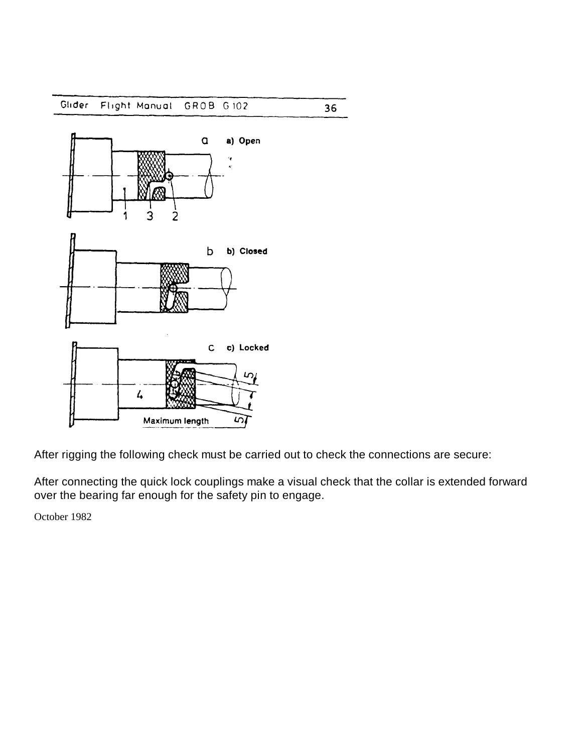

After rigging the following check must be carried out to check the connections are secure:

After connecting the quick lock couplings make a visual check that the collar is extended forward over the bearing far enough for the safety pin to engage.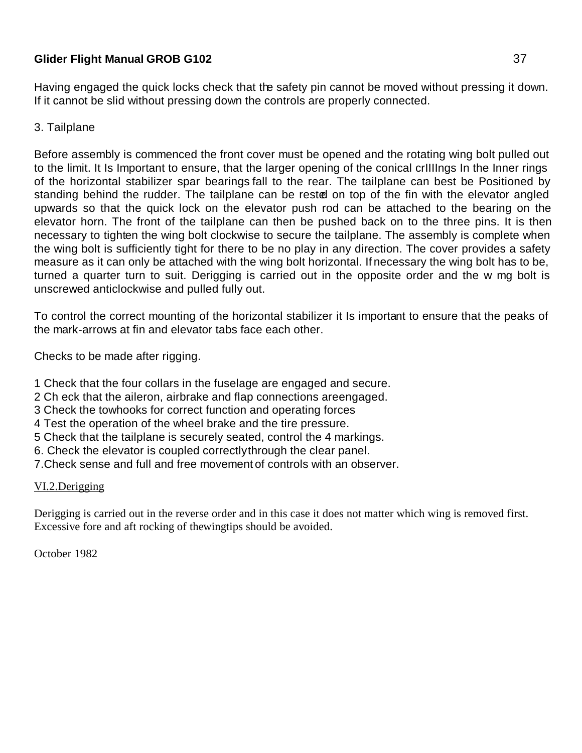Having engaged the quick locks check that the safety pin cannot be moved without pressing it down. If it cannot be slid without pressing down the controls are properly connected.

## 3. Tailplane

Before assembly is commenced the front cover must be opened and the rotating wing bolt pulled out to the limit. It Is Important to ensure, that the larger opening of the conical crIIIIngs In the Inner rings of the horizontal stabilizer spar bearings fall to the rear. The tailplane can best be Positioned by standing behind the rudder. The tailplane can be rested on top of the fin with the elevator angled upwards so that the quick lock on the elevator push rod can be attached to the bearing on the elevator horn. The front of the tailplane can then be pushed back on to the three pins. It is then necessary to tighten the wing bolt clockwise to secure the tailplane. The assembly is complete when the wing bolt is sufficiently tight for there to be no play in any direction. The cover provides a safety measure as it can only be attached with the wing bolt horizontal. If necessary the wing bolt has to be, turned a quarter turn to suit. Derigging is carried out in the opposite order and the w mg bolt is unscrewed anticlockwise and pulled fully out.

To control the correct mounting of the horizontal stabilizer it Is important to ensure that the peaks of the mark-arrows at fin and elevator tabs face each other.

Checks to be made after rigging.

- 1 Check that the four collars in the fuselage are engaged and secure.
- 2 Ch eck that the aileron, airbrake and flap connections are engaged.
- 3 Check the towhooks for correct function and operating forces
- 4 Test the operation of the wheel brake and the tire pressure.
- 5 Check that the tailplane is securely seated, control the 4 markings.
- 6. Check the elevator is coupled correctlythrough the clear panel.
- 7.Check sense and full and free movement of controls with an observer.

## VI.2.Derigging

Derigging is carried out in the reverse order and in this case it does not matter which wing is removed first. Excessive fore and aft rocking of the wingtips should be avoided.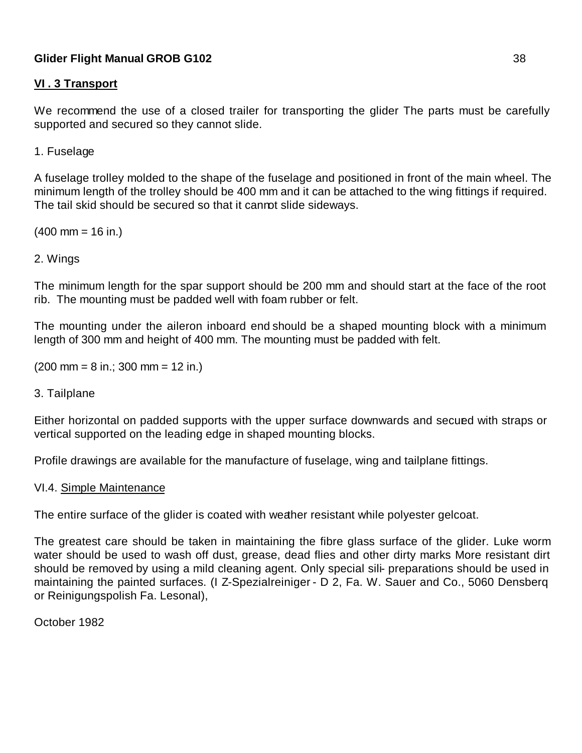## **VI . 3 Transport**

We recommend the use of a closed trailer for transporting the glider The parts must be carefully supported and secured so they cannot slide.

1. Fuselage

A fuselage trolley molded to the shape of the fuselage and positioned in front of the main wheel. The minimum length of the trolley should be 400 mm and it can be attached to the wing fittings if required. The tail skid should be secured so that it cannot slide sideways.

 $(400 \text{ mm} = 16 \text{ in.})$ 

### 2. Wings

The minimum length for the spar support should be 200 mm and should start at the face of the root rib. The mounting must be padded well with foam rubber or felt.

The mounting under the aileron inboard end should be a shaped mounting block with a minimum length of 300 mm and height of 400 mm. The mounting must be padded with felt.

(200 mm = 8 in.; 300 mm = 12 in.)

### 3. Tailplane

Either horizontal on padded supports with the upper surface downwards and secured with straps or vertical supported on the leading edge in shaped mounting blocks.

Profile drawings are available for the manufacture of fuselage, wing and tailplane fittings.

### VI.4. Simple Maintenance

The entire surface of the glider is coated with weather resistant while polyester gelcoat.

The greatest care should be taken in maintaining the fibre glass surface of the glider. Luke worm water should be used to wash off dust, grease, dead flies and other dirty marks More resistant dirt should be removed by using a mild cleaning agent. Only special sili- preparations should be used in maintaining the painted surfaces. (I Z-Spezialreiniger - D 2, Fa. W. Sauer and Co., 5060 Densberq or Reinigungspolish Fa. Lesonal),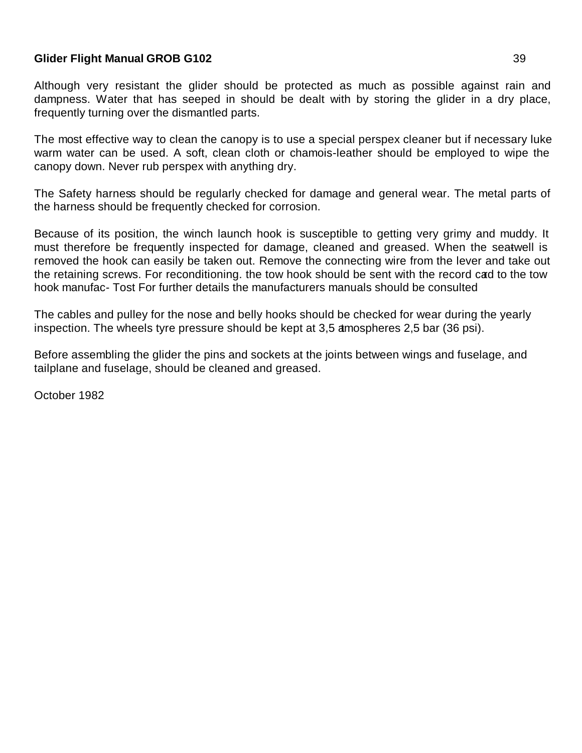Although very resistant the glider should be protected as much as possible against rain and dampness. Water that has seeped in should be dealt with by storing the glider in a dry place, frequently turning over the dismantled parts.

The most effective way to clean the canopy is to use a special perspex cleaner but if necessary luke warm water can be used. A soft, clean cloth or chamois-leather should be employed to wipe the canopy down. Never rub perspex with anything dry.

The Safety harness should be regularly checked for damage and general wear. The metal parts of the harness should be frequently checked for corrosion.

Because of its position, the winch launch hook is susceptible to getting very grimy and muddy. It must therefore be frequently inspected for damage, cleaned and greased. When the seatwell is removed the hook can easily be taken out. Remove the connecting wire from the lever and take out the retaining screws. For reconditioning, the tow hook should be sent with the record cad to the tow hook manufac- Tost For further details the manufacturers manuals should be consulted

The cables and pulley for the nose and belly hooks should be checked for wear during the yearly inspection. The wheels tyre pressure should be kept at 3,5 amospheres 2,5 bar (36 psi).

Before assembling the glider the pins and sockets at the joints between wings and fuselage, and tailplane and fuselage, should be cleaned and greased.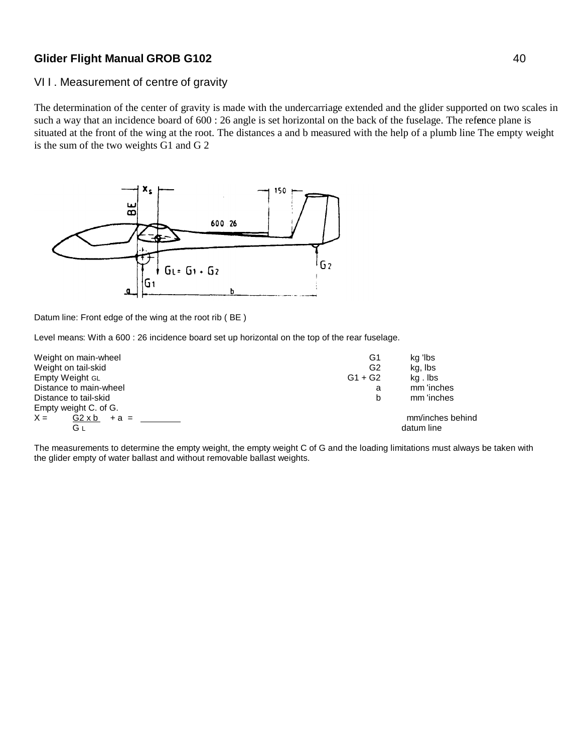## VII. Measurement of centre of gravity

The determination of the center of gravity is made with the undercarriage extended and the glider supported on two scales in such a way that an incidence board of 600 : 26 angle is set horizontal on the back of the fuselage. The refernce plane is situated at the front of the wing at the root. The distances a and b measured with the help of a plumb line The empty weight is the sum of the two weights G1 and G 2



Datum line: Front edge of the wing at the root rib ( BE )

Level means: With a 600 : 26 incidence board set up horizontal on the top of the rear fuselage.

| Weight on main-wheel             | G1        | kg 'lbs          |
|----------------------------------|-----------|------------------|
| Weight on tail-skid              | G2        | kg, Ibs          |
| Empty Weight GL                  | $G1 + G2$ | kg.lbs           |
| Distance to main-wheel           | a         | mm 'inches       |
| Distance to tail-skid            | b         | mm 'inches       |
| Empty weight C. of G.            |           |                  |
| $X =$<br>$G2 \times b$<br>$+a =$ |           | mm/inches behind |
| Gι                               |           | datum line       |

The measurements to determine the empty weight, the empty weight C of G and the loading limitations must always be taken with the glider empty of water ballast and without removable ballast weights.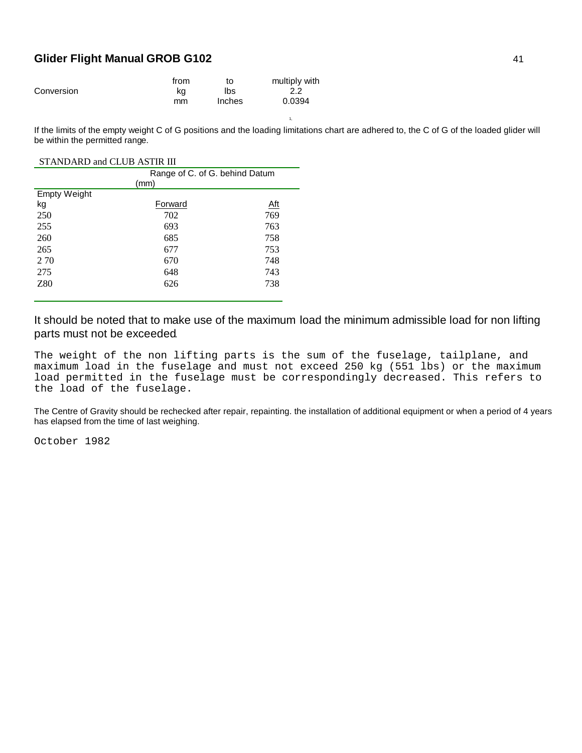|            | from | to     | multiply with |
|------------|------|--------|---------------|
| Conversion | ka   | lbs    |               |
|            | mm   | Inches | 0.0394        |

1, If the limits of the empty weight C of G positions and the loading limitations chart are adhered to, the C of G of the loaded glider will be within the permitted range.

#### STANDARD and CLUB ASTIR III

|                     | Range of C. of G. behind Datum |            |  |  |
|---------------------|--------------------------------|------------|--|--|
|                     | (mm)                           |            |  |  |
| <b>Empty Weight</b> |                                |            |  |  |
| kg                  | Forward                        | <u>Aft</u> |  |  |
| 250                 | 702                            | 769        |  |  |
| 255                 | 693                            | 763        |  |  |
| 260                 | 685                            | 758        |  |  |
| 265                 | 677                            | 753        |  |  |
| 2 70                | 670                            | 748        |  |  |
| 275                 | 648                            | 743        |  |  |
| Z80                 | 626                            | 738        |  |  |
|                     |                                |            |  |  |

It should be noted that to make use of the maximum load the minimum admissible load for non lifting parts must not be exceeded.

The weight of the non lifting parts is the sum of the fuselage, tailplane, and maximum load in the fuselage and must not exceed 250 kg (551 lbs) or the maximum load permitted in the fuselage must be correspondingly decreased. This refers to the load of the fuselage.

The Centre of Gravity should be rechecked after repair, repainting. the installation of additional equipment or when a period of 4 years has elapsed from the time of last weighing.